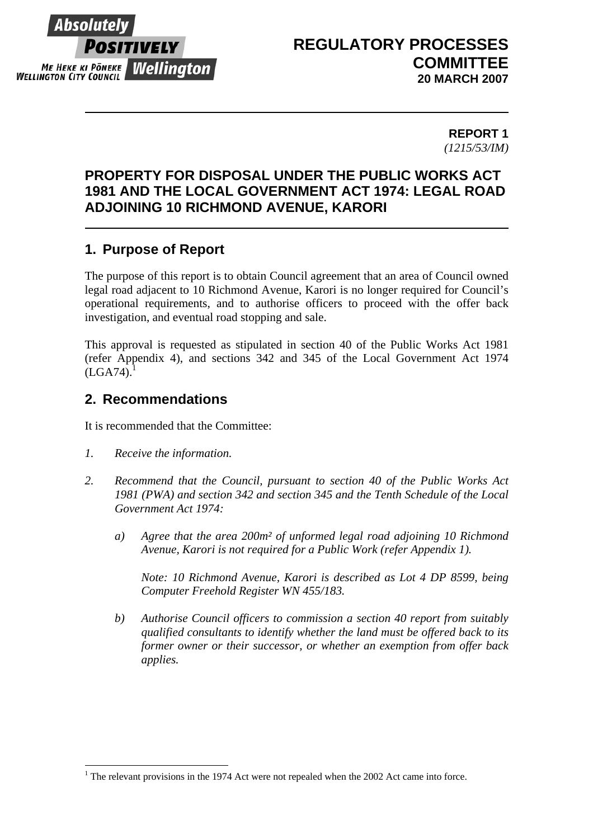

 $\overline{a}$ 

# **REGULATORY PROCESSES COMMITTEE 20 MARCH 2007**

**REPORT 1** *(1215/53/IM)* 

# **PROPERTY FOR DISPOSAL UNDER THE PUBLIC WORKS ACT 1981 AND THE LOCAL GOVERNMENT ACT 1974: LEGAL ROAD ADJOINING 10 RICHMOND AVENUE, KARORI**

# **1. Purpose of Report**

The purpose of this report is to obtain Council agreement that an area of Council owned legal road adjacent to 10 Richmond Avenue, Karori is no longer required for Council's operational requirements, and to authorise officers to proceed with the offer back investigation, and eventual road stopping and sale.

This approval is requested as stipulated in section 40 of the Public Works Act 1981 (refer Appendix 4), and sections 342 and 345 of the Local Government Act 1974  $(LGA74)$ .

## **2. Recommendations**

It is recommended that the Committee:

- *1. Receive the information.*
- *2. Recommend that the Council, pursuant to section 40 of the Public Works Act 1981 (PWA) and section 342 and section 345 and the Tenth Schedule of the Local Government Act 1974:* 
	- *a) Agree that the area 200m² of unformed legal road adjoining 10 Richmond Avenue, Karori is not required for a Public Work (refer Appendix 1).*

*Note: 10 Richmond Avenue, Karori is described as Lot 4 DP 8599, being Computer Freehold Register WN 455/183.* 

*b) Authorise Council officers to commission a section 40 report from suitably qualified consultants to identify whether the land must be offered back to its former owner or their successor, or whether an exemption from offer back applies.* 

 $1$  The relevant provisions in the 1974 Act were not repealed when the 2002 Act came into force.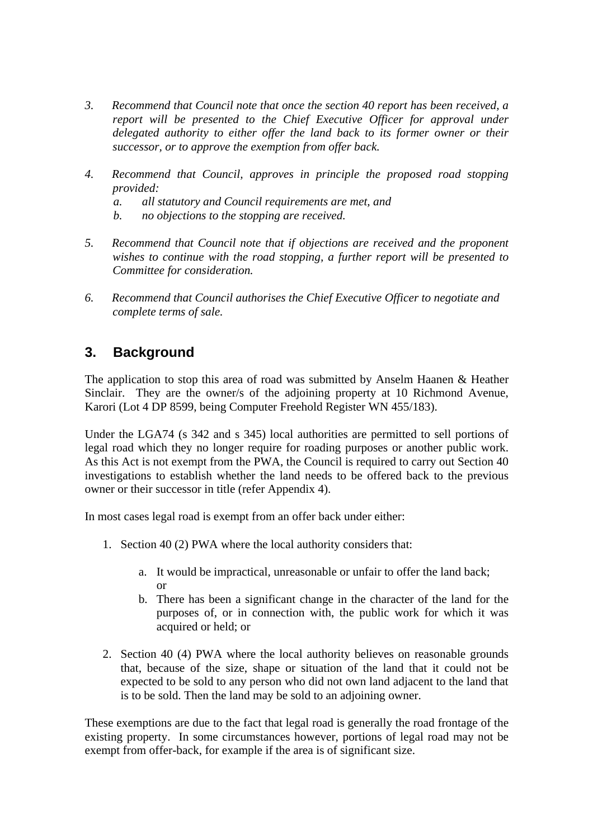- *3. Recommend that Council note that once the section 40 report has been received, a report will be presented to the Chief Executive Officer for approval under delegated authority to either offer the land back to its former owner or their successor, or to approve the exemption from offer back.*
- *4. Recommend that Council, approves in principle the proposed road stopping provided:* 
	- *a. all statutory and Council requirements are met, and*
	- *b. no objections to the stopping are received.*
- *5. Recommend that Council note that if objections are received and the proponent wishes to continue with the road stopping, a further report will be presented to Committee for consideration.*
- *6. Recommend that Council authorises the Chief Executive Officer to negotiate and complete terms of sale.*

# **3. Background**

The application to stop this area of road was submitted by Anselm Haanen & Heather Sinclair. They are the owner/s of the adjoining property at 10 Richmond Avenue, Karori (Lot 4 DP 8599, being Computer Freehold Register WN 455/183).

Under the LGA74 (s 342 and s 345) local authorities are permitted to sell portions of legal road which they no longer require for roading purposes or another public work. As this Act is not exempt from the PWA, the Council is required to carry out Section 40 investigations to establish whether the land needs to be offered back to the previous owner or their successor in title (refer Appendix 4).

In most cases legal road is exempt from an offer back under either:

- 1. Section 40 (2) PWA where the local authority considers that:
	- a. It would be impractical, unreasonable or unfair to offer the land back; or
	- b. There has been a significant change in the character of the land for the purposes of, or in connection with, the public work for which it was acquired or held; or
- 2. Section 40 (4) PWA where the local authority believes on reasonable grounds that, because of the size, shape or situation of the land that it could not be expected to be sold to any person who did not own land adjacent to the land that is to be sold. Then the land may be sold to an adjoining owner.

These exemptions are due to the fact that legal road is generally the road frontage of the existing property. In some circumstances however, portions of legal road may not be exempt from offer-back, for example if the area is of significant size.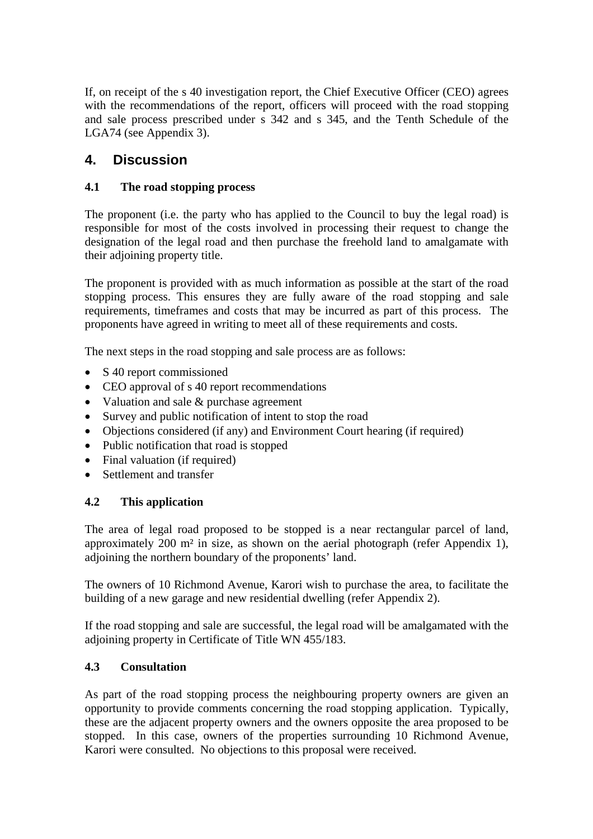If, on receipt of the s 40 investigation report, the Chief Executive Officer (CEO) agrees with the recommendations of the report, officers will proceed with the road stopping and sale process prescribed under s 342 and s 345, and the Tenth Schedule of the LGA74 (see Appendix 3).

# **4. Discussion**

## **4.1 The road stopping process**

The proponent (i.e. the party who has applied to the Council to buy the legal road) is responsible for most of the costs involved in processing their request to change the designation of the legal road and then purchase the freehold land to amalgamate with their adjoining property title.

The proponent is provided with as much information as possible at the start of the road stopping process. This ensures they are fully aware of the road stopping and sale requirements, timeframes and costs that may be incurred as part of this process. The proponents have agreed in writing to meet all of these requirements and costs.

The next steps in the road stopping and sale process are as follows:

- S 40 report commissioned
- CEO approval of s 40 report recommendations
- Valuation and sale & purchase agreement
- Survey and public notification of intent to stop the road
- Objections considered (if any) and Environment Court hearing (if required)
- Public notification that road is stopped
- Final valuation (if required)
- Settlement and transfer

## **4.2 This application**

The area of legal road proposed to be stopped is a near rectangular parcel of land, approximately 200 m² in size, as shown on the aerial photograph (refer Appendix 1), adjoining the northern boundary of the proponents' land.

The owners of 10 Richmond Avenue, Karori wish to purchase the area, to facilitate the building of a new garage and new residential dwelling (refer Appendix 2).

If the road stopping and sale are successful, the legal road will be amalgamated with the adioining property in Certificate of Title WN 455/183.

## **4.3 Consultation**

As part of the road stopping process the neighbouring property owners are given an opportunity to provide comments concerning the road stopping application. Typically, these are the adjacent property owners and the owners opposite the area proposed to be stopped. In this case, owners of the properties surrounding 10 Richmond Avenue, Karori were consulted. No objections to this proposal were received.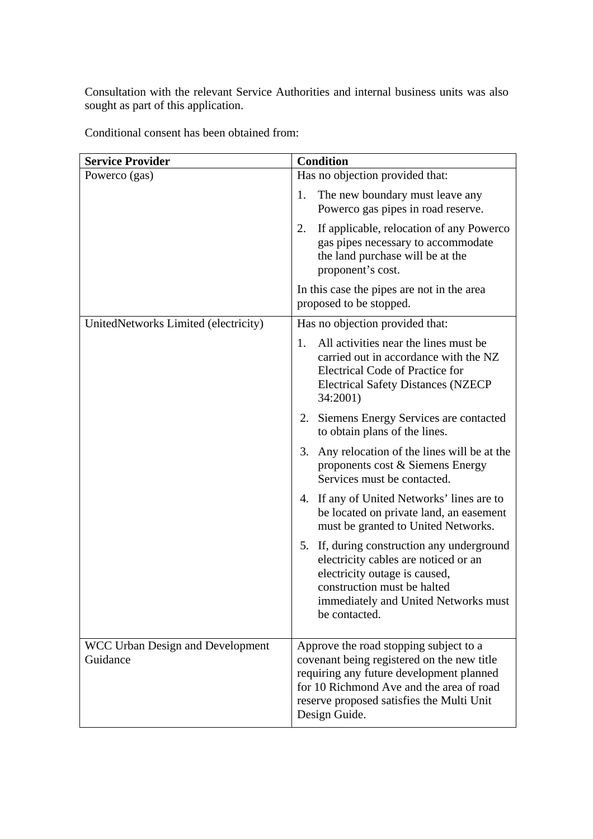Consultation with the relevant Service Authorities and internal business units was also sought as part of this application.

Conditional consent has been obtained from:

| <b>Service Provider</b>                      | <b>Condition</b>                                                                                                                                                                                                                           |
|----------------------------------------------|--------------------------------------------------------------------------------------------------------------------------------------------------------------------------------------------------------------------------------------------|
| Powerco (gas)                                | Has no objection provided that:                                                                                                                                                                                                            |
|                                              | The new boundary must leave any<br>1.<br>Powerco gas pipes in road reserve.                                                                                                                                                                |
|                                              | If applicable, relocation of any Powerco<br>2.<br>gas pipes necessary to accommodate<br>the land purchase will be at the<br>proponent's cost.                                                                                              |
|                                              | In this case the pipes are not in the area<br>proposed to be stopped.                                                                                                                                                                      |
| UnitedNetworks Limited (electricity)         | Has no objection provided that:                                                                                                                                                                                                            |
|                                              | All activities near the lines must be<br>1.<br>carried out in accordance with the NZ<br><b>Electrical Code of Practice for</b><br><b>Electrical Safety Distances (NZECP</b><br>34:2001)                                                    |
|                                              | Siemens Energy Services are contacted<br>2.<br>to obtain plans of the lines.                                                                                                                                                               |
|                                              | Any relocation of the lines will be at the<br>3.<br>proponents cost & Siemens Energy<br>Services must be contacted.                                                                                                                        |
|                                              | 4. If any of United Networks' lines are to<br>be located on private land, an easement<br>must be granted to United Networks.                                                                                                               |
|                                              | 5. If, during construction any underground<br>electricity cables are noticed or an<br>electricity outage is caused,<br>construction must be halted<br>immediately and United Networks must<br>be contacted.                                |
| WCC Urban Design and Development<br>Guidance | Approve the road stopping subject to a<br>covenant being registered on the new title<br>requiring any future development planned<br>for 10 Richmond Ave and the area of road<br>reserve proposed satisfies the Multi Unit<br>Design Guide. |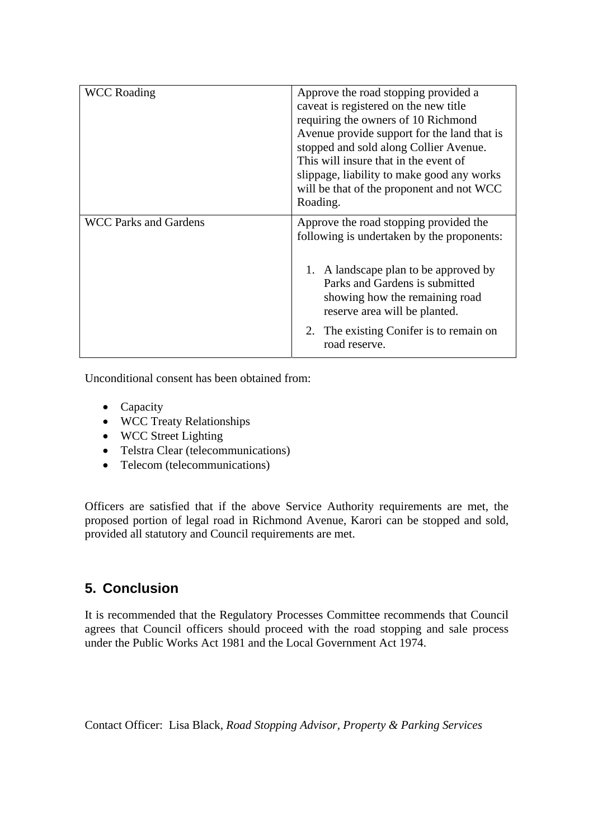| <b>WCC Roading</b>    | Approve the road stopping provided a<br>caveat is registered on the new title<br>requiring the owners of 10 Richmond<br>Avenue provide support for the land that is<br>stopped and sold along Collier Avenue.<br>This will insure that in the event of<br>slippage, liability to make good any works<br>will be that of the proponent and not WCC<br>Roading. |
|-----------------------|---------------------------------------------------------------------------------------------------------------------------------------------------------------------------------------------------------------------------------------------------------------------------------------------------------------------------------------------------------------|
| WCC Parks and Gardens | Approve the road stopping provided the<br>following is undertaken by the proponents:<br>A landscape plan to be approved by<br>Parks and Gardens is submitted<br>showing how the remaining road<br>reserve area will be planted.                                                                                                                               |
|                       | 2. The existing Conifer is to remain on<br>road reserve.                                                                                                                                                                                                                                                                                                      |

Unconditional consent has been obtained from:

- Capacity
- WCC Treaty Relationships
- WCC Street Lighting
- Telstra Clear (telecommunications)
- Telecom (telecommunications)

Officers are satisfied that if the above Service Authority requirements are met, the proposed portion of legal road in Richmond Avenue, Karori can be stopped and sold, provided all statutory and Council requirements are met.

# **5. Conclusion**

It is recommended that the Regulatory Processes Committee recommends that Council agrees that Council officers should proceed with the road stopping and sale process under the Public Works Act 1981 and the Local Government Act 1974.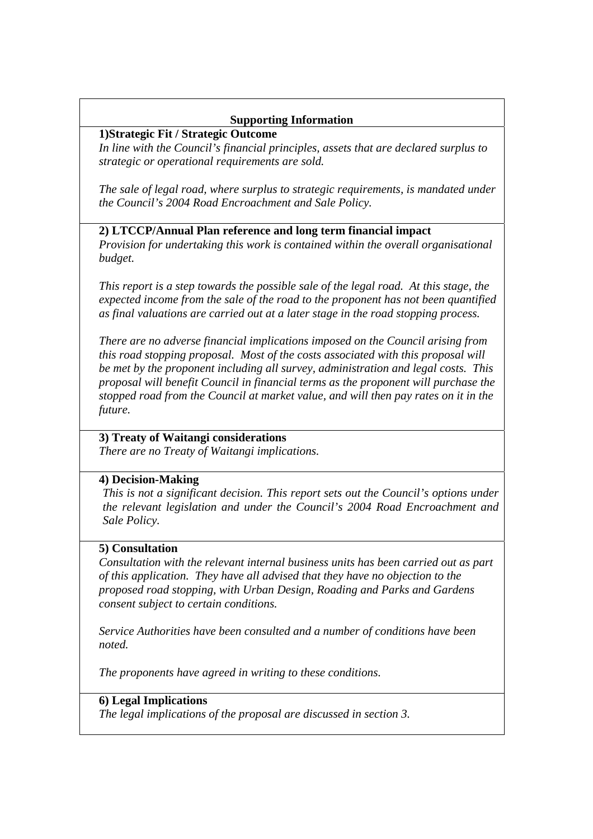### **Supporting Information**

#### **1)Strategic Fit / Strategic Outcome**

*In line with the Council's financial principles, assets that are declared surplus to strategic or operational requirements are sold.* 

*The sale of legal road, where surplus to strategic requirements, is mandated under the Council's 2004 Road Encroachment and Sale Policy.* 

#### **2) LTCCP/Annual Plan reference and long term financial impact**

*Provision for undertaking this work is contained within the overall organisational budget.* 

*This report is a step towards the possible sale of the legal road. At this stage, the expected income from the sale of the road to the proponent has not been quantified as final valuations are carried out at a later stage in the road stopping process.* 

*There are no adverse financial implications imposed on the Council arising from this road stopping proposal. Most of the costs associated with this proposal will be met by the proponent including all survey, administration and legal costs. This proposal will benefit Council in financial terms as the proponent will purchase the stopped road from the Council at market value, and will then pay rates on it in the future.* 

#### **3) Treaty of Waitangi considerations**

*There are no Treaty of Waitangi implications.* 

#### **4) Decision-Making**

*This is not a significant decision. This report sets out the Council's options under the relevant legislation and under the Council's 2004 Road Encroachment and Sale Policy.* 

#### **5) Consultation**

*Consultation with the relevant internal business units has been carried out as part of this application. They have all advised that they have no objection to the proposed road stopping, with Urban Design, Roading and Parks and Gardens consent subject to certain conditions.* 

*Service Authorities have been consulted and a number of conditions have been noted.* 

*The proponents have agreed in writing to these conditions.* 

#### **6) Legal Implications**

*The legal implications of the proposal are discussed in section 3.*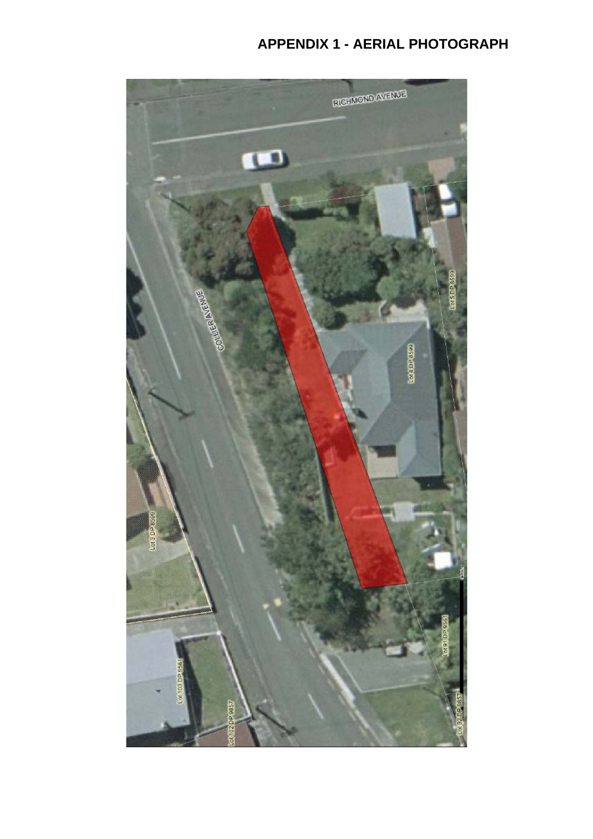# **APPENDIX 1 - AERIAL PHOTOGRAPH**

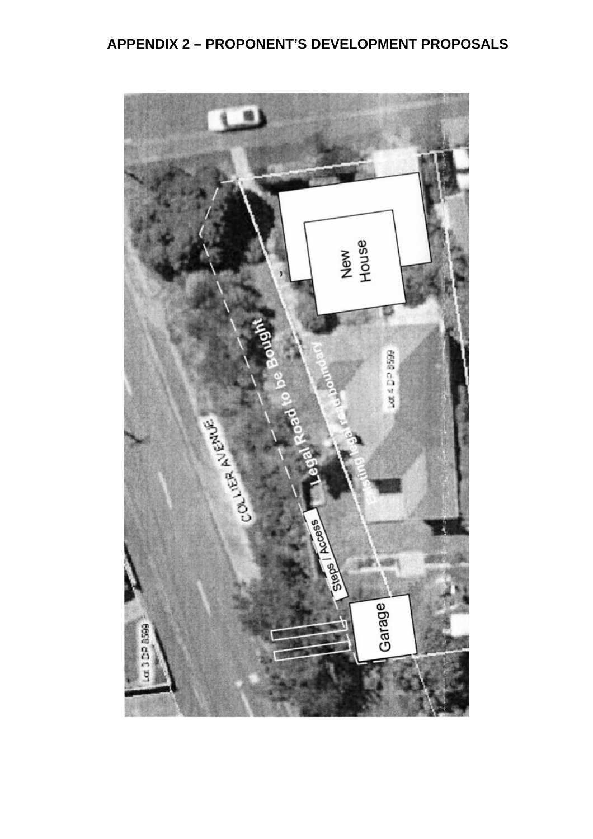# **APPENDIX 2 – PROPONENT'S DEVELOPMENT PROPOSALS**

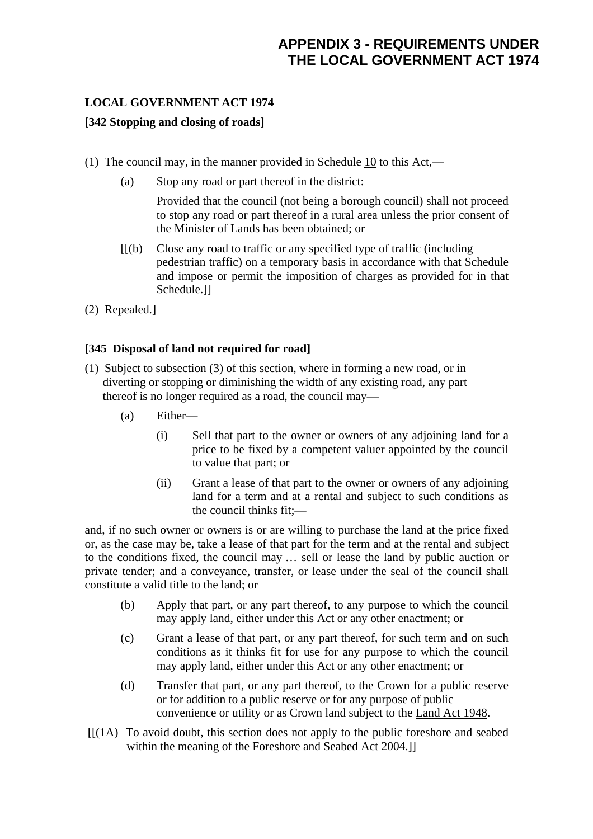## **LOCAL GOVERNMENT ACT 1974**

## **[342 Stopping and closing of roads]**

- (1) The council may, in the manner provided in Schedule 10 to this Act,—
	- (a) Stop any road or part thereof in the district:

 Provided that the council (not being a borough council) shall not proceed to stop any road or part thereof in a rural area unless the prior consent of the Minister of Lands has been obtained; or

- [[(b) Close any road to traffic or any specified type of traffic (including pedestrian traffic) on a temporary basis in accordance with that Schedule and impose or permit the imposition of charges as provided for in that Schedule.]]
- (2) Repealed.]

## **[345 Disposal of land not required for road]**

- (1) Subject to subsection  $(3)$  of this section, where in forming a new road, or in diverting or stopping or diminishing the width of any existing road, any part thereof is no longer required as a road, the council may—
	- (a) Either—
		- (i) Sell that part to the owner or owners of any adjoining land for a price to be fixed by a competent valuer appointed by the council to value that part; or
		- (ii) Grant a lease of that part to the owner or owners of any adjoining land for a term and at a rental and subject to such conditions as the council thinks fit;—

and, if no such owner or owners is or are willing to purchase the land at the price fixed or, as the case may be, take a lease of that part for the term and at the rental and subject to the conditions fixed, the council may … sell or lease the land by public auction or private tender; and a conveyance, transfer, or lease under the seal of the council shall constitute a valid title to the land; or

- (b) Apply that part, or any part thereof, to any purpose to which the council may apply land, either under this Act or any other enactment; or
- (c) Grant a lease of that part, or any part thereof, for such term and on such conditions as it thinks fit for use for any purpose to which the council may apply land, either under this Act or any other enactment; or
- (d) Transfer that part, or any part thereof, to the Crown for a public reserve or for addition to a public reserve or for any purpose of public convenience or utility or as Crown land subject to the Land Act 1948.
- $[[(1A) \tTo avoid doubt, this section does not apply to the public foreshore and sealed$ within the meaning of the Foreshore and Seabed Act 2004.]]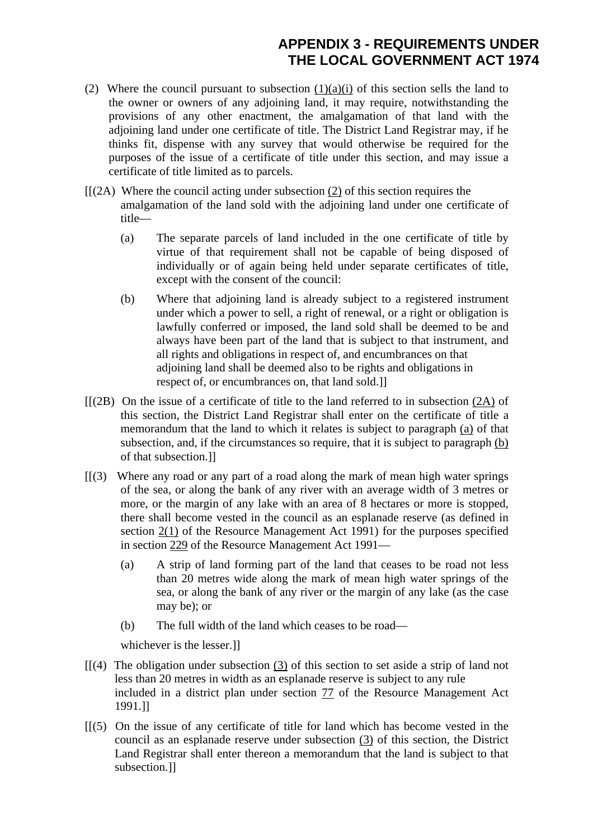# **APPENDIX 3 - REQUIREMENTS UNDER THE LOCAL GOVERNMENT ACT 1974**

- (2) Where the council pursuant to subsection  $(1)(a)(i)$  of this section sells the land to the owner or owners of any adjoining land, it may require, notwithstanding the provisions of any other enactment, the amalgamation of that land with the adjoining land under one certificate of title. The District Land Registrar may, if he thinks fit, dispense with any survey that would otherwise be required for the purposes of the issue of a certificate of title under this section, and may issue a certificate of title limited as to parcels.
- $[[(2A)$  Where the council acting under subsection (2) of this section requires the amalgamation of the land sold with the adjoining land under one certificate of title—
	- (a) The separate parcels of land included in the one certificate of title by virtue of that requirement shall not be capable of being disposed of individually or of again being held under separate certificates of title, except with the consent of the council:
	- (b) Where that adjoining land is already subject to a registered instrument under which a power to sell, a right of renewal, or a right or obligation is lawfully conferred or imposed, the land sold shall be deemed to be and always have been part of the land that is subject to that instrument, and all rights and obligations in respect of, and encumbrances on that adjoining land shall be deemed also to be rights and obligations in respect of, or encumbrances on, that land sold.]]
- [[(2B) On the issue of a certificate of title to the land referred to in subsection (2A) of this section, the District Land Registrar shall enter on the certificate of title a memorandum that the land to which it relates is subject to paragraph (a) of that subsection, and, if the circumstances so require, that it is subject to paragraph (b) of that subsection.]]
- $[$ [(3) Where any road or any part of a road along the mark of mean high water springs of the sea, or along the bank of any river with an average width of 3 metres or more, or the margin of any lake with an area of 8 hectares or more is stopped, there shall become vested in the council as an esplanade reserve (as defined in section 2(1) of the Resource Management Act 1991) for the purposes specified in section 229 of the Resource Management Act 1991—
	- (a) A strip of land forming part of the land that ceases to be road not less than 20 metres wide along the mark of mean high water springs of the sea, or along the bank of any river or the margin of any lake (as the case may be); or
	- (b) The full width of the land which ceases to be road—

whichever is the lesser.]]

- $[$ [(4) The obligation under subsection (3) of this section to set aside a strip of land not less than 20 metres in width as an esplanade reserve is subject to any rule included in a district plan under section 77 of the Resource Management Act 1991.]]
- $[$ [(5) On the issue of any certificate of title for land which has become vested in the council as an esplanade reserve under subsection (3) of this section, the District Land Registrar shall enter thereon a memorandum that the land is subject to that subsection.]]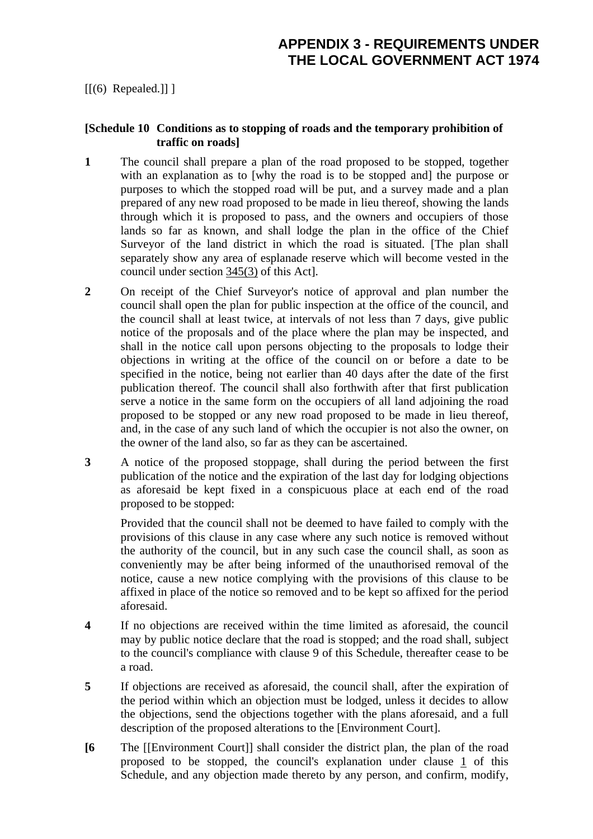$[[(6) \text{ Repeated.}]]]$ 

#### **[Schedule 10 Conditions as to stopping of roads and the temporary prohibition of traffic on roads]**

- **1** The council shall prepare a plan of the road proposed to be stopped, together with an explanation as to [why the road is to be stopped and] the purpose or purposes to which the stopped road will be put, and a survey made and a plan prepared of any new road proposed to be made in lieu thereof, showing the lands through which it is proposed to pass, and the owners and occupiers of those lands so far as known, and shall lodge the plan in the office of the Chief Surveyor of the land district in which the road is situated. [The plan shall separately show any area of esplanade reserve which will become vested in the council under section 345(3) of this Act].
- **2** On receipt of the Chief Surveyor's notice of approval and plan number the council shall open the plan for public inspection at the office of the council, and the council shall at least twice, at intervals of not less than 7 days, give public notice of the proposals and of the place where the plan may be inspected, and shall in the notice call upon persons objecting to the proposals to lodge their objections in writing at the office of the council on or before a date to be specified in the notice, being not earlier than 40 days after the date of the first publication thereof. The council shall also forthwith after that first publication serve a notice in the same form on the occupiers of all land adjoining the road proposed to be stopped or any new road proposed to be made in lieu thereof, and, in the case of any such land of which the occupier is not also the owner, on the owner of the land also, so far as they can be ascertained.
- **3** A notice of the proposed stoppage, shall during the period between the first publication of the notice and the expiration of the last day for lodging objections as aforesaid be kept fixed in a conspicuous place at each end of the road proposed to be stopped:

 Provided that the council shall not be deemed to have failed to comply with the provisions of this clause in any case where any such notice is removed without the authority of the council, but in any such case the council shall, as soon as conveniently may be after being informed of the unauthorised removal of the notice, cause a new notice complying with the provisions of this clause to be affixed in place of the notice so removed and to be kept so affixed for the period aforesaid.

- **4** If no objections are received within the time limited as aforesaid, the council may by public notice declare that the road is stopped; and the road shall, subject to the council's compliance with clause 9 of this Schedule, thereafter cease to be a road.
- **5** If objections are received as aforesaid, the council shall, after the expiration of the period within which an objection must be lodged, unless it decides to allow the objections, send the objections together with the plans aforesaid, and a full description of the proposed alterations to the [Environment Court].
- **[6** The [[Environment Court]] shall consider the district plan, the plan of the road proposed to be stopped, the council's explanation under clause 1 of this Schedule, and any objection made thereto by any person, and confirm, modify,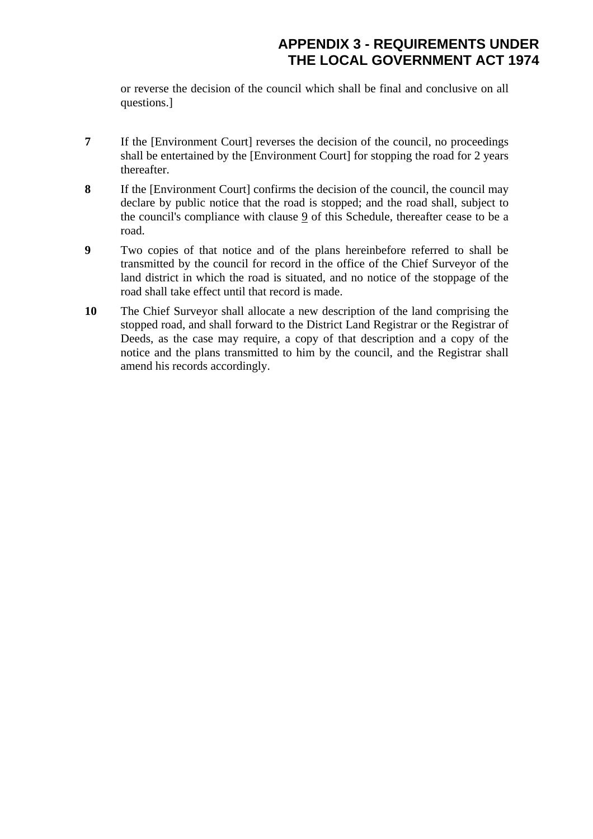or reverse the decision of the council which shall be final and conclusive on all questions.]

- **7** If the [Environment Court] reverses the decision of the council, no proceedings shall be entertained by the [Environment Court] for stopping the road for 2 years thereafter.
- **8** If the [Environment Court] confirms the decision of the council, the council may declare by public notice that the road is stopped; and the road shall, subject to the council's compliance with clause 9 of this Schedule, thereafter cease to be a road.
- **9** Two copies of that notice and of the plans hereinbefore referred to shall be transmitted by the council for record in the office of the Chief Surveyor of the land district in which the road is situated, and no notice of the stoppage of the road shall take effect until that record is made.
- **10** The Chief Surveyor shall allocate a new description of the land comprising the stopped road, and shall forward to the District Land Registrar or the Registrar of Deeds, as the case may require, a copy of that description and a copy of the notice and the plans transmitted to him by the council, and the Registrar shall amend his records accordingly.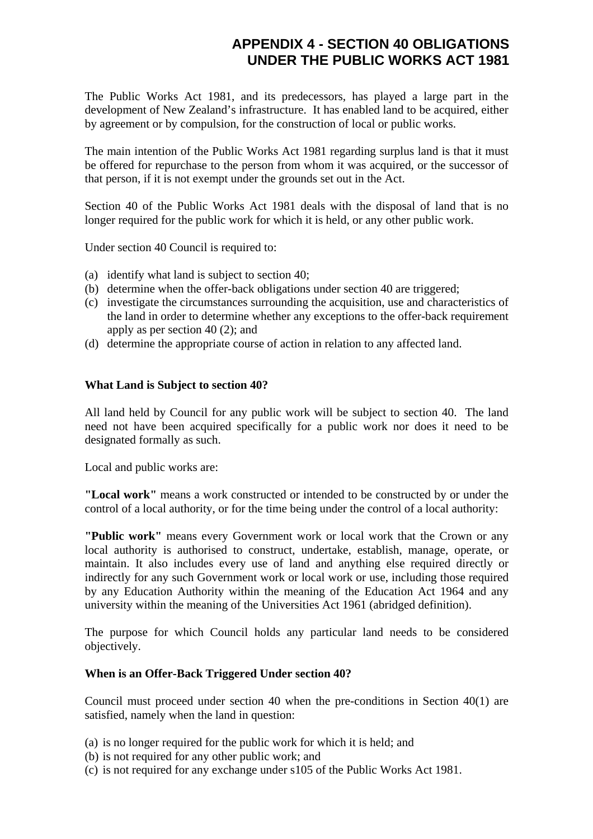# **APPENDIX 4 - SECTION 40 OBLIGATIONS UNDER THE PUBLIC WORKS ACT 1981**

The Public Works Act 1981, and its predecessors, has played a large part in the development of New Zealand's infrastructure. It has enabled land to be acquired, either by agreement or by compulsion, for the construction of local or public works.

The main intention of the Public Works Act 1981 regarding surplus land is that it must be offered for repurchase to the person from whom it was acquired, or the successor of that person, if it is not exempt under the grounds set out in the Act.

Section 40 of the Public Works Act 1981 deals with the disposal of land that is no longer required for the public work for which it is held, or any other public work.

Under section 40 Council is required to:

- (a) identify what land is subject to section 40;
- (b) determine when the offer-back obligations under section 40 are triggered;
- (c) investigate the circumstances surrounding the acquisition, use and characteristics of the land in order to determine whether any exceptions to the offer-back requirement apply as per section 40 (2); and
- (d) determine the appropriate course of action in relation to any affected land.

#### **What Land is Subject to section 40?**

All land held by Council for any public work will be subject to section 40. The land need not have been acquired specifically for a public work nor does it need to be designated formally as such.

Local and public works are:

**"Local work"** means a work constructed or intended to be constructed by or under the control of a local authority, or for the time being under the control of a local authority:

**"Public work"** means every Government work or local work that the Crown or any local authority is authorised to construct, undertake, establish, manage, operate, or maintain. It also includes every use of land and anything else required directly or indirectly for any such Government work or local work or use, including those required by any Education Authority within the meaning of the Education Act 1964 and any university within the meaning of the Universities Act 1961 (abridged definition).

The purpose for which Council holds any particular land needs to be considered objectively.

#### **When is an Offer-Back Triggered Under section 40?**

Council must proceed under section 40 when the pre-conditions in Section 40(1) are satisfied, namely when the land in question:

- (a) is no longer required for the public work for which it is held; and
- (b) is not required for any other public work; and
- (c) is not required for any exchange under s105 of the Public Works Act 1981.